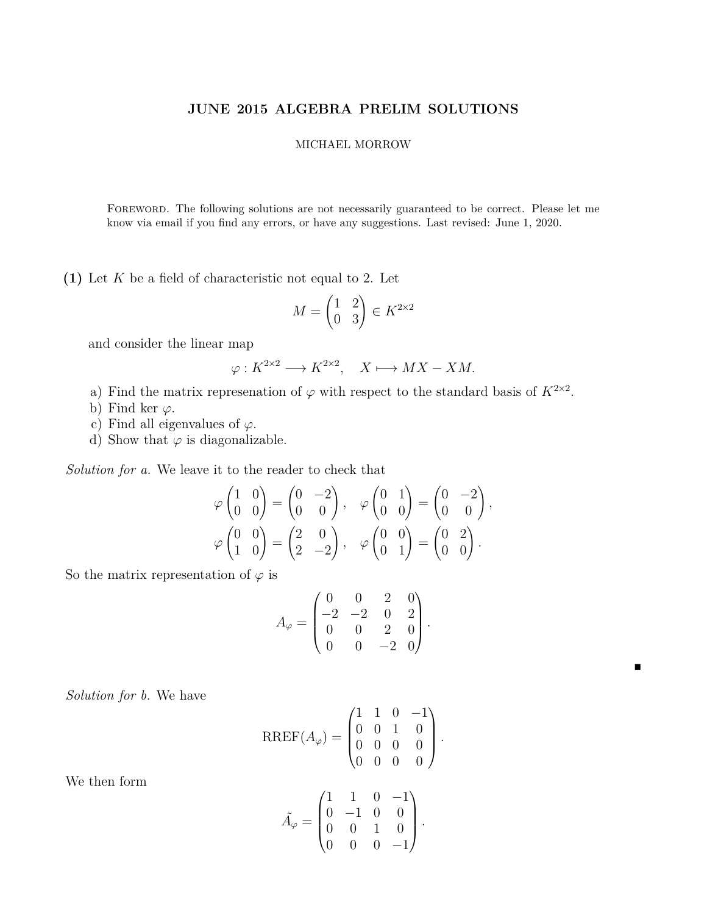## **JUNE 2015 ALGEBRA PRELIM SOLUTIONS**

## MICHAEL MORROW

Foreword. The following solutions are not necessarily guaranteed to be correct. Please let me know via email if you find any errors, or have any suggestions. Last revised: June 1, 2020.

**(1)** Let *K* be a field of characteristic not equal to 2. Let

$$
M = \begin{pmatrix} 1 & 2 \\ 0 & 3 \end{pmatrix} \in K^{2 \times 2}
$$

and consider the linear map

$$
\varphi: K^{2 \times 2} \longrightarrow K^{2 \times 2}, \quad X \longmapsto MX-XM.
$$

- a) Find the matrix represenation of  $\varphi$  with respect to the standard basis of  $K^{2\times 2}$ .
- b) Find ker  $\varphi$ .
- c) Find all eigenvalues of  $\varphi$ .
- d) Show that  $\varphi$  is diagonalizable.

*Solution for a.* We leave it to the reader to check that

$$
\varphi \begin{pmatrix} 1 & 0 \\ 0 & 0 \end{pmatrix} = \begin{pmatrix} 0 & -2 \\ 0 & 0 \end{pmatrix}, \quad \varphi \begin{pmatrix} 0 & 1 \\ 0 & 0 \end{pmatrix} = \begin{pmatrix} 0 & -2 \\ 0 & 0 \end{pmatrix},
$$

$$
\varphi \begin{pmatrix} 0 & 0 \\ 1 & 0 \end{pmatrix} = \begin{pmatrix} 2 & 0 \\ 2 & -2 \end{pmatrix}, \quad \varphi \begin{pmatrix} 0 & 0 \\ 0 & 1 \end{pmatrix} = \begin{pmatrix} 0 & 2 \\ 0 & 0 \end{pmatrix}.
$$

So the matrix representation of  $\varphi$  is

$$
A_{\varphi} = \begin{pmatrix} 0 & 0 & 2 & 0 \\ -2 & -2 & 0 & 2 \\ 0 & 0 & 2 & 0 \\ 0 & 0 & -2 & 0 \end{pmatrix}.
$$

 $\blacksquare$ 

*Solution for b.* We have

$$
RREF(A_{\varphi}) = \begin{pmatrix} 1 & 1 & 0 & -1 \\ 0 & 0 & 1 & 0 \\ 0 & 0 & 0 & 0 \\ 0 & 0 & 0 & 0 \end{pmatrix}.
$$

$$
\tilde{A}_{\varphi} = \begin{pmatrix} 1 & 1 & 0 & -1 \\ 0 & -1 & 0 & 0 \\ 0 & 0 & 1 & 0 \\ 0 & 0 & 0 & -1 \end{pmatrix}.
$$

We then form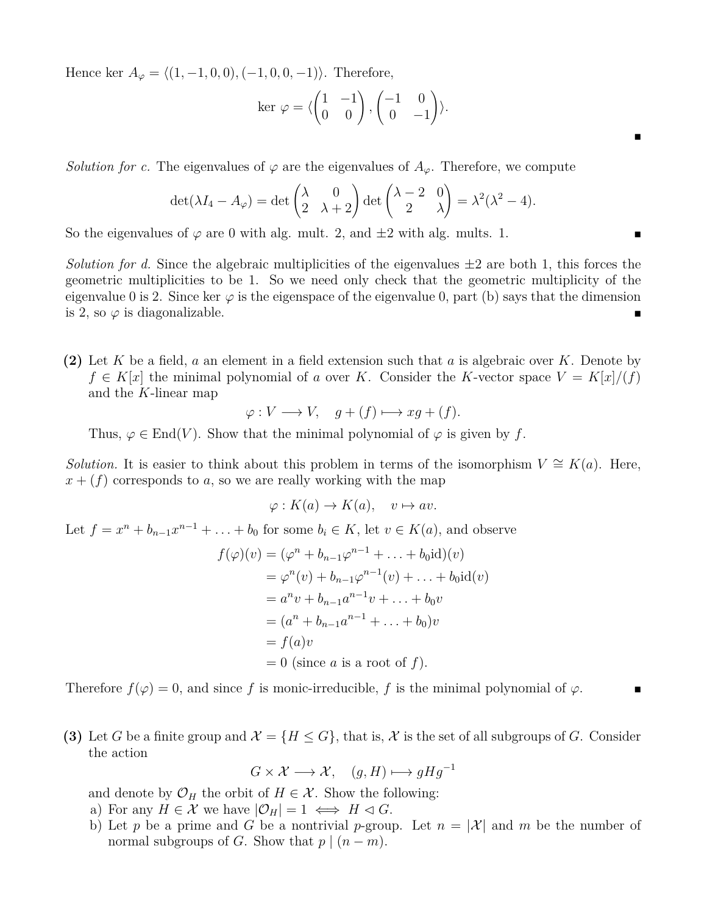Hence ker  $A_{\varphi} = \langle (1, -1, 0, 0), (-1, 0, 0, -1) \rangle$ . Therefore,

$$
\ker \varphi = \langle \begin{pmatrix} 1 & -1 \\ 0 & 0 \end{pmatrix}, \begin{pmatrix} -1 & 0 \\ 0 & -1 \end{pmatrix} \rangle.
$$

 $\blacksquare$ 

*Solution for c.* The eigenvalues of  $\varphi$  are the eigenvalues of  $A_{\varphi}$ . Therefore, we compute

$$
\det(\lambda I_4 - A_{\varphi}) = \det\begin{pmatrix} \lambda & 0\\ 2 & \lambda + 2 \end{pmatrix} \det\begin{pmatrix} \lambda - 2 & 0\\ 2 & \lambda \end{pmatrix} = \lambda^2(\lambda^2 - 4).
$$

So the eigenvalues of  $\varphi$  are 0 with alg. mult. 2, and  $\pm 2$  with alg. mults. 1.

*Solution for d.* Since the algebraic multiplicities of the eigenvalues  $\pm 2$  are both 1, this forces the geometric multiplicities to be 1. So we need only check that the geometric multiplicity of the eigenvalue 0 is 2. Since ker  $\varphi$  is the eigenspace of the eigenvalue 0, part (b) says that the dimension is 2, so  $\varphi$  is diagonalizable.

**(2)** Let *K* be a field, *a* an element in a field extension such that *a* is algebraic over *K*. Denote by  $f \in K[x]$  the minimal polynomial of *a* over *K*. Consider the *K*-vector space  $V = K[x]/(f)$ and the *K*-linear map

$$
\varphi: V \longrightarrow V, \quad g + (f) \longmapsto xg + (f).
$$

Thus,  $\varphi \in \text{End}(V)$ . Show that the minimal polynomial of  $\varphi$  is given by f.

*Solution.* It is easier to think about this problem in terms of the isomorphism  $V \cong K(a)$ . Here,  $x + (f)$  corresponds to *a*, so we are really working with the map

$$
\varphi: K(a) \to K(a), \quad v \mapsto av.
$$

Let  $f = x^n + b_{n-1}x^{n-1} + \ldots + b_0$  for some  $b_i \in K$ , let  $v \in K(a)$ , and observe

$$
f(\varphi)(v) = (\varphi^n + b_{n-1}\varphi^{n-1} + \dots + b_0 \text{id})(v)
$$
  
=  $\varphi^n(v) + b_{n-1}\varphi^{n-1}(v) + \dots + b_0 \text{id}(v)$   
=  $a^n v + b_{n-1}a^{n-1}v + \dots + b_0 v$   
=  $(a^n + b_{n-1}a^{n-1} + \dots + b_0)v$   
=  $f(a)v$   
= 0 (since *a* is a root of *f*).

Therefore  $f(\varphi) = 0$ , and since f is monic-irreducible, f is the minimal polynomial of  $\varphi$ .

**(3)** Let *G* be a finite group and  $\mathcal{X} = \{H \leq G\}$ , that is,  $\mathcal{X}$  is the set of all subgroups of *G*. Consider the action

$$
G \times \mathcal{X} \longrightarrow \mathcal{X}, \quad (g, H) \longmapsto gHg^{-1}
$$

and denote by  $\mathcal{O}_H$  the orbit of  $H \in \mathcal{X}$ . Show the following:

- a) For any  $H \in \mathcal{X}$  we have  $|\mathcal{O}_H| = 1 \iff H \lhd G$ .
- b) Let *p* be a prime and *G* be a nontrivial *p*-group. Let  $n = |\mathcal{X}|$  and *m* be the number of normal subgroups of *G*. Show that  $p \mid (n-m)$ .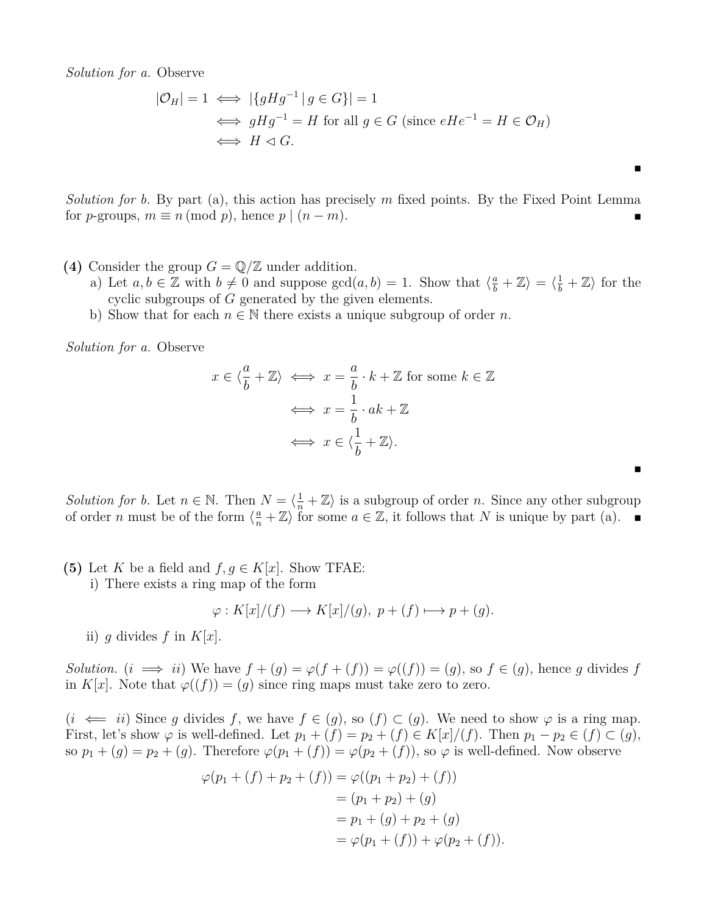*Solution for a.* Observe

$$
|\mathcal{O}_H| = 1 \iff |\{gHg^{-1} | g \in G\}| = 1
$$
  

$$
\iff gHg^{-1} = H \text{ for all } g \in G \text{ (since } eHe^{-1} = H \in \mathcal{O}_H)
$$
  

$$
\iff H \lhd G.
$$

 $\blacksquare$ 

 $\blacksquare$ 

*Solution for b.* By part (a), this action has precisely *m* fixed points. By the Fixed Point Lemma for *p*-groups,  $m \equiv n \pmod{p}$ , hence  $p \mid (n-m)$ .

- **(4)** Consider the group  $G = \mathbb{Q}/\mathbb{Z}$  under addition.
	- a) Let  $a, b \in \mathbb{Z}$  with  $b \neq 0$  and suppose  $gcd(a, b) = 1$ . Show that  $\langle \frac{a}{b} + \mathbb{Z} \rangle = \langle \frac{1}{b} + \mathbb{Z} \rangle$  for the cyclic subgroups of *G* generated by the given elements.
	- b) Show that for each  $n \in \mathbb{N}$  there exists a unique subgroup of order *n*.

*Solution for a.* Observe

$$
x \in \langle \frac{a}{b} + \mathbb{Z} \rangle \iff x = \frac{a}{b} \cdot k + \mathbb{Z} \text{ for some } k \in \mathbb{Z}
$$

$$
\iff x = \frac{1}{b} \cdot ak + \mathbb{Z}
$$

$$
\iff x \in \langle \frac{1}{b} + \mathbb{Z} \rangle.
$$

*Solution for b.* Let  $n \in \mathbb{N}$ . Then  $N = \langle \frac{1}{n} + \mathbb{Z} \rangle$  is a subgroup of order *n*. Since any other subgroup of order *n* must be of the form  $\langle \frac{a}{n} + \mathbb{Z} \rangle$  for some  $a \in \mathbb{Z}$ , it follows that *N* is unique by part (a).

**(5)** Let *K* be a field and  $f, g \in K[x]$ . Show TFAE: i) There exists a ring map of the form

$$
\varphi: K[x]/(f) \longrightarrow K[x]/(g), \ p + (f) \longmapsto p + (g).
$$

ii) *q* divides *f* in  $K[x]$ .

*Solution.* (*i*  $\implies$  *ii*) We have  $f + (g) = \varphi(f + (f)) = \varphi((f)) = (g)$ , so  $f \in (g)$ , hence *g* divides *f* in *K*[*x*]. Note that  $\varphi$ ((*f*)) = (*g*) since ring maps must take zero to zero.

 $(i \iff ii)$  Since *g* divides *f*, we have  $f \in (g)$ , so  $(f) \subset (g)$ . We need to show  $\varphi$  is a ring map. First, let's show  $\varphi$  is well-defined. Let  $p_1 + (f) = p_2 + (f) \in K[x]/(f)$ . Then  $p_1 - p_2 \in (f) \subset (g)$ , so  $p_1 + (g) = p_2 + (g)$ . Therefore  $\varphi(p_1 + (f)) = \varphi(p_2 + (f))$ , so  $\varphi$  is well-defined. Now observe

$$
\varphi(p_1 + (f) + p_2 + (f)) = \varphi((p_1 + p_2) + (f))
$$
  
= (p\_1 + p\_2) + (g)  
= p\_1 + (g) + p\_2 + (g)  
= \varphi(p\_1 + (f)) + \varphi(p\_2 + (f)).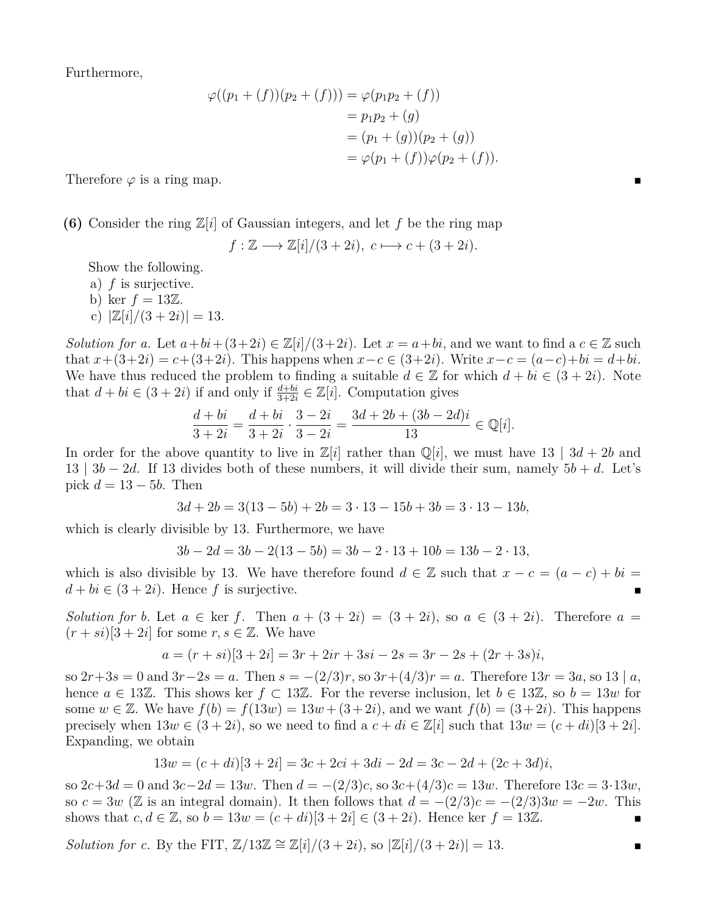Furthermore,

$$
\varphi((p_1 + (f))(p_2 + (f))) = \varphi(p_1p_2 + (f))
$$
  
=  $p_1p_2 + (g)$   
=  $(p_1 + (g))(p_2 + (g))$   
=  $\varphi(p_1 + (f))\varphi(p_2 + (f)).$ 

Therefore  $\varphi$  is a ring map.

**(6)** Consider the ring  $\mathbb{Z}[i]$  of Gaussian integers, and let f be the ring map

$$
f: \mathbb{Z} \longrightarrow \mathbb{Z}[i]/(3+2i), c \longmapsto c + (3+2i).
$$

Show the following.

a) *f* is surjective.

b) ker  $f = 13\mathbb{Z}$ .

c)  $|\mathbb{Z}[i]/(3+2i)| = 13$ .

*Solution for a.* Let  $a + bi + (3+2i) \in \mathbb{Z}[i]/(3+2i)$ . Let  $x = a + bi$ , and we want to find a  $c \in \mathbb{Z}$  such that *x*+(3+2*i*) = *c*+(3+2*i*). This happens when *x*−*c* ∈ (3+2*i*). Write *x*−*c* = (*a*−*c*)+*bi* = *d*+*bi*. We have thus reduced the problem to finding a suitable  $d \in \mathbb{Z}$  for which  $d + bi \in (3 + 2i)$ . Note that  $d + bi \in (3 + 2i)$  if and only if  $\frac{d + bi}{3 + 2i} \in \mathbb{Z}[i]$ . Computation gives

$$
\frac{d+bi}{3+2i} = \frac{d+bi}{3+2i} \cdot \frac{3-2i}{3-2i} = \frac{3d+2b+(3b-2d)i}{13} \in \mathbb{Q}[i].
$$

In order for the above quantity to live in  $\mathbb{Z}[i]$  rather than  $\mathbb{Q}[i]$ , we must have 13 | 3*d* + 2*b* and 13 |  $3b - 2d$ . If 13 divides both of these numbers, it will divide their sum, namely  $5b + d$ . Let's pick  $d = 13 - 5b$ . Then

$$
3d + 2b = 3(13 - 5b) + 2b = 3 \cdot 13 - 15b + 3b = 3 \cdot 13 - 13b,
$$

which is clearly divisible by 13. Furthermore, we have

$$
3b - 2d = 3b - 2(13 - 5b) = 3b - 2 \cdot 13 + 10b = 13b - 2 \cdot 13,
$$

which is also divisible by 13. We have therefore found  $d \in \mathbb{Z}$  such that  $x - c = (a - c) + bi =$  $d + bi \in (3 + 2i)$ . Hence f is surjective.

*Solution for b.* Let  $a \in \text{ker } f$ . Then  $a + (3 + 2i) = (3 + 2i)$ , so  $a \in (3 + 2i)$ . Therefore  $a =$  $(r + si)[3 + 2i]$  for some  $r, s \in \mathbb{Z}$ . We have

$$
a = (r + si)[3 + 2i] = 3r + 2ir + 3si - 2s = 3r - 2s + (2r + 3s)i,
$$

so  $2r+3s = 0$  and  $3r-2s = a$ . Then  $s = -(2/3)r$ , so  $3r+(4/3)r = a$ . Therefore  $13r = 3a$ , so  $13 | a$ , hence  $a \in 13\mathbb{Z}$ . This shows ker  $f \subset 13\mathbb{Z}$ . For the reverse inclusion, let  $b \in 13\mathbb{Z}$ , so  $b = 13w$  for some  $w \in \mathbb{Z}$ . We have  $f(b) = f(13w) = 13w + (3+2i)$ , and we want  $f(b) = (3+2i)$ . This happens precisely when  $13w \in (3 + 2i)$ , so we need to find a  $c + di \in \mathbb{Z}[i]$  such that  $13w = (c + di)[3 + 2i]$ . Expanding, we obtain

$$
13w = (c + di)[3 + 2i] = 3c + 2ci + 3di - 2d = 3c - 2d + (2c + 3d)i,
$$

so  $2c+3d = 0$  and  $3c-2d = 13w$ . Then  $d = -(2/3)c$ , so  $3c+(4/3)c = 13w$ . Therefore  $13c = 3.13w$ , so  $c = 3w$  (Z is an integral domain). It then follows that  $d = -(2/3)c = -(2/3)3w = -2w$ . This shows that  $c, d \in \mathbb{Z}$ , so  $b = 13w = (c + di)[3 + 2i] \in (3 + 2i)$ . Hence ker  $f = 13\mathbb{Z}$ .

*Solution for c.* By the FIT,  $\mathbb{Z}/13\mathbb{Z} \cong \mathbb{Z}[i]/(3+2i)$ , so  $|\mathbb{Z}[i]/(3+2i)| = 13$ .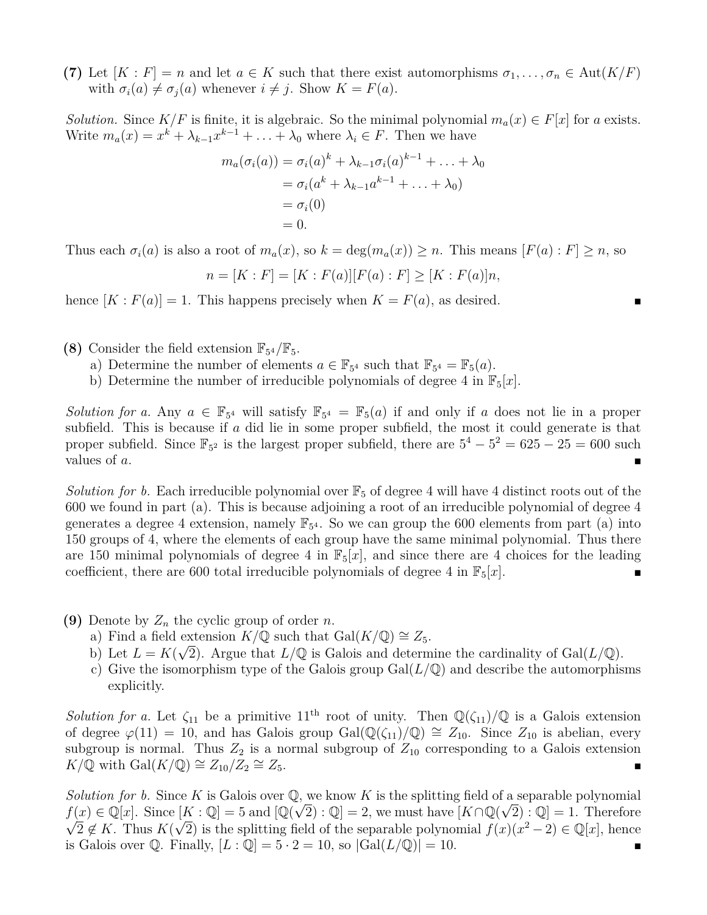**(7)** Let  $[K : F] = n$  and let  $a \in K$  such that there exist automorphisms  $\sigma_1, \ldots, \sigma_n \in \text{Aut}(K/F)$ with  $\sigma_i(a) \neq \sigma_j(a)$  whenever  $i \neq j$ . Show  $K = F(a)$ .

*Solution.* Since  $K/F$  is finite, it is algebraic. So the minimal polynomial  $m_a(x) \in F[x]$  for *a* exists. Write  $m_a(x) = x^k + \lambda_{k-1}x^{k-1} + \ldots + \lambda_0$  where  $\lambda_i \in F$ . Then we have

$$
m_a(\sigma_i(a)) = \sigma_i(a)^k + \lambda_{k-1}\sigma_i(a)^{k-1} + \ldots + \lambda_0
$$
  
=  $\sigma_i(a^k + \lambda_{k-1}a^{k-1} + \ldots + \lambda_0)$   
=  $\sigma_i(0)$   
= 0.

Thus each  $\sigma_i(a)$  is also a root of  $m_a(x)$ , so  $k = \deg(m_a(x)) \geq n$ . This means  $[F(a): F] \geq n$ , so

$$
n = [K : F] = [K : F(a)][F(a) : F] \ge [K : F(a)]n,
$$

hence  $[K : F(a)] = 1$ . This happens precisely when  $K = F(a)$ , as desired.

(8) Consider the field extension  $\mathbb{F}_{5^4}/\mathbb{F}_5$ .

- a) Determine the number of elements  $a \in \mathbb{F}_{5^4}$  such that  $\mathbb{F}_{5^4} = \mathbb{F}_5(a)$ .
- b) Determine the number of irreducible polynomials of degree 4 in  $\mathbb{F}_5[x]$ .

*Solution for a.* Any  $a \in \mathbb{F}_{5^4}$  will satisfy  $\mathbb{F}_{5^4} = \mathbb{F}_5(a)$  if and only if *a* does not lie in a proper subfield. This is because if *a* did lie in some proper subfield, the most it could generate is that proper subfield. Since  $\mathbb{F}_{5^2}$  is the largest proper subfield, there are  $5^4 - 5^2 = 625 - 25 = 600$  such values of  $a$ .

*Solution for b.* Each irreducible polynomial over  $\mathbb{F}_5$  of degree 4 will have 4 distinct roots out of the 600 we found in part (a). This is because adjoining a root of an irreducible polynomial of degree 4 generates a degree 4 extension, namely  $\mathbb{F}_{5^4}$ . So we can group the 600 elements from part (a) into 150 groups of 4, where the elements of each group have the same minimal polynomial. Thus there are 150 minimal polynomials of degree 4 in  $\mathbb{F}_5[x]$ , and since there are 4 choices for the leading coefficient, there are 600 total irreducible polynomials of degree 4 in  $\mathbb{F}_5[x]$ .

- **(9)** Denote by *Z<sup>n</sup>* the cyclic group of order *n*.
	- a) Find a field extension  $K/\mathbb{Q}$  such that  $Gal(K/\mathbb{Q}) \cong Z_5$ .
	- b) Let  $L = K(\sqrt{2})$ . Argue that  $L/\mathbb{Q}$  is Galois and determine the cardinality of Gal $(L/\mathbb{Q})$ .
	- c) Give the isomorphism type of the Galois group  $Gal(L/\mathbb{Q})$  and describe the automorphisms explicitly.

*Solution for a.* Let  $\zeta_{11}$  be a primitive  $11^{th}$  root of unity. Then  $\mathbb{Q}(\zeta_{11})/\mathbb{Q}$  is a Galois extension of degree  $\varphi(11) = 10$ , and has Galois group Gal( $\mathbb{Q}(\zeta_{11})/\mathbb{Q} \cong Z_{10}$ . Since  $Z_{10}$  is abelian, every subgroup is normal. Thus  $Z_2$  is a normal subgroup of  $Z_{10}$  corresponding to a Galois extension *K*/**Q** with Gal(*K*/**Q**) ≅  $Z_{10}/Z_2 \cong Z_5$ .  $\cong$  *Z*<sub>5</sub>. ■

*Solution for b.* Since *K* is Galois over  $\mathbb{Q}$ , we know *K* is the splitting field of a separable polynomial  $f(x) \in \mathbb{Q}[x]$ . Since  $[K : \mathbb{Q}] = 5$  and  $[\mathbb{Q}(\sqrt{2}) : \mathbb{Q}] = 2$ , we must have  $[K \cap \mathbb{Q}(\sqrt{2}) : \mathbb{Q}] = 1$ . Therefore  $2 \notin K$ . Thus  $K(\sqrt{2})$  is the splitting field of the separable polynomial  $f(x)(x^2-2) \in \mathbb{Q}[x]$ , hence is Galois over  $\mathbb{Q}$ . Finally,  $[L : \mathbb{Q}] = 5 \cdot 2 = 10$ , so  $|\text{Gal}(L/\mathbb{Q})| = 10$ .